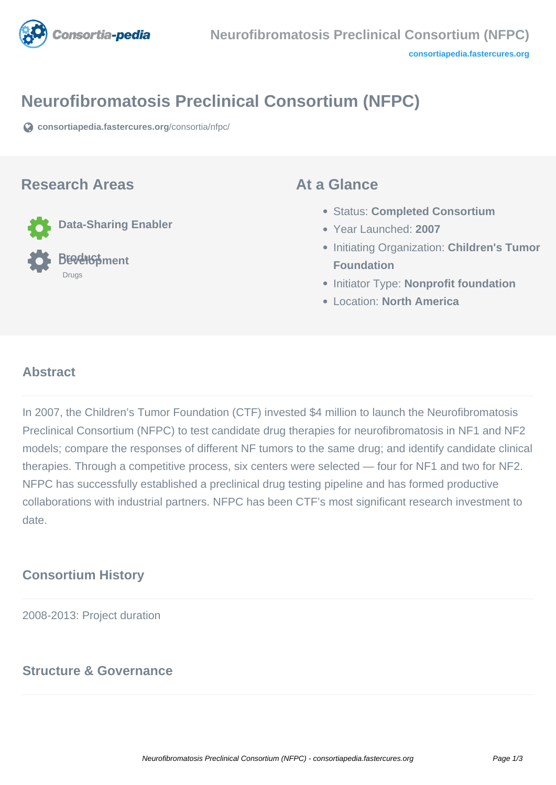

# **Neurofibromatosis Preclinical Consortium (NFPC)**

**[consortiapedia.fastercures.org](https://consortiapedia.fastercures.org/consortia/nfpc/)**[/consortia/nfpc/](https://consortiapedia.fastercures.org/consortia/nfpc/)

#### **Research Areas**

**Data-Sharing Enabler**

 **Product Development** Drugs

#### **At a Glance**

- Status: **Completed Consortium**
- Year Launched: **2007**
- **Initiating Organization: Children's Tumor Foundation**
- **Initiator Type: Nonprofit foundation**
- Location: **North America**

#### $\overline{a}$ **Abstract**

In 2007, the Children's Tumor Foundation (CTF) invested \$4 million to launch the Neurofibromatosis Preclinical Consortium (NFPC) to test candidate drug therapies for neurofibromatosis in NF1 and NF2 models; compare the responses of different NF tumors to the same drug; and identify candidate clinical therapies. Through a competitive process, six centers were selected — four for NF1 and two for NF2. NFPC has successfully established a preclinical drug testing pipeline and has formed productive collaborations with industrial partners. NFPC has been CTF's most significant research investment to date.

# **Consortium History**

2008-2013: Project duration

## **Structure & Governance**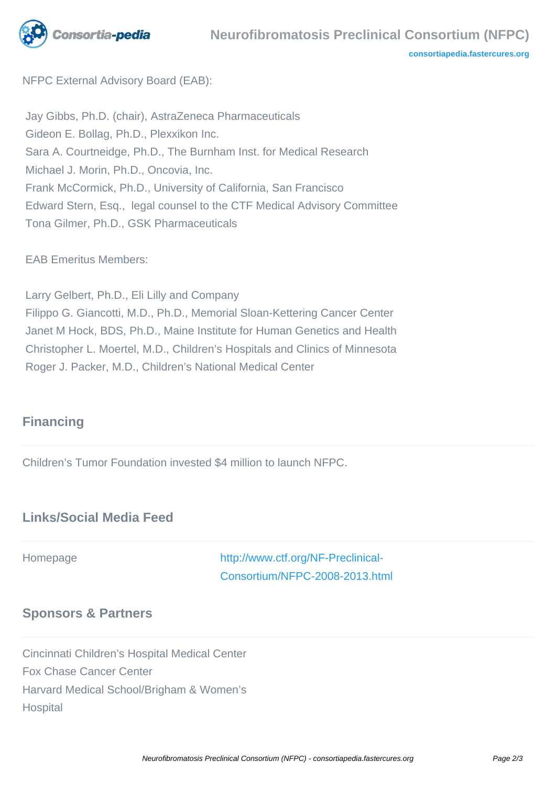

**[consortiapedia.fastercures.org](http://consortiapedia.fastercures.org/)**

NFPC External Advisory Board (EAB):

 Jay Gibbs, Ph.D. (chair), AstraZeneca Pharmaceuticals Gideon E. Bollag, Ph.D., Plexxikon Inc. Sara A. Courtneidge, Ph.D., The Burnham Inst. for Medical Research Michael J. Morin, Ph.D., Oncovia, Inc. Frank McCormick, Ph.D., University of California, San Francisco Edward Stern, Esq., legal counsel to the CTF Medical Advisory Committee Tona Gilmer, Ph.D., GSK Pharmaceuticals

EAB Emeritus Members:

 Larry Gelbert, Ph.D., Eli Lilly and Company Filippo G. Giancotti, M.D., Ph.D., Memorial Sloan-Kettering Cancer Center Janet M Hock, BDS, Ph.D., Maine Institute for Human Genetics and Health Christopher L. Moertel, M.D., Children's Hospitals and Clinics of Minnesota Roger J. Packer, M.D., Children's National Medical Center

# **Financing**

Children's Tumor Foundation invested \$4 million to launch NFPC.

## **Links/Social Media Feed**

Homepage [http://www.ctf.org/NF-Preclinical-](http://www.ctf.org/NF-Preclinical-Consortium/NFPC-2008-2013.html)[Consortium/NFPC-2008-2013.html](http://www.ctf.org/NF-Preclinical-Consortium/NFPC-2008-2013.html)

## **Sponsors & Partners**

Cincinnati Children's Hospital Medical Center Fox Chase Cancer Center Harvard Medical School/Brigham & Women's **Hospital**